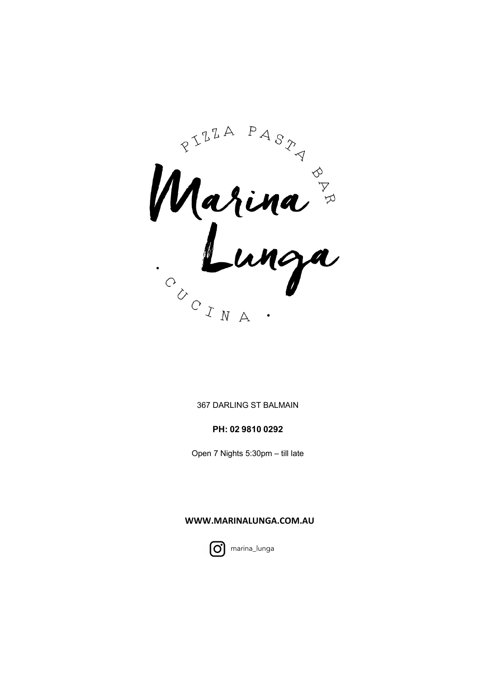Rarina &

#### 367 DARLING ST BALMAIN

### PH: 02 9810 0292

Open 7 Nights 5:30pm - till late

### WWW.MARINALUNGA.COM.AU



marina\_lunga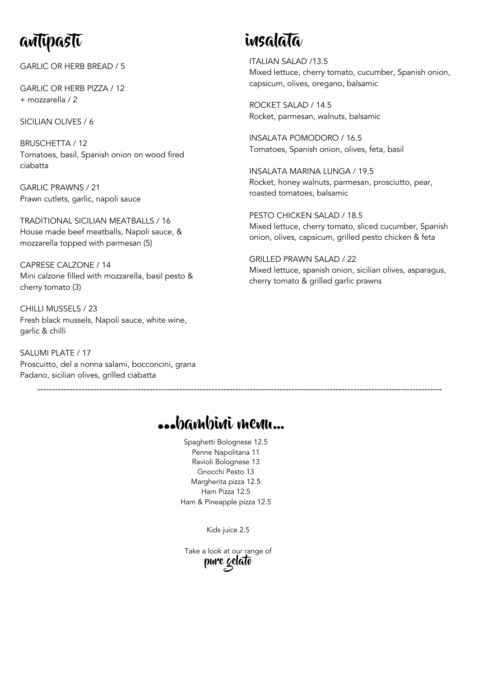# antipasti

GARLIC OR HERB BREAD / 5

GARLIC OR HERB PIZZA / 12 + mozzarella / 2

SICILIAN OLIVES / 6

BRUSCHETTA / 12 Tomatoes, basil, Spanish onion on wood fired ciabatta

GARLIC PRAWNS / 21 Prawn cutlets, garlic, napoli sauce

TRADITIONAL SICILIAN MEATBALLS / 16 House made beef meatballs, Napoli sauce, & mozzarella topped with parmesan (5)

CAPRESE CALZONE / 14 Mini calzone filled with mozzarella, basil pesto & cherry tomato (3)

CHILLI MUSSELS / 23 Fresh black mussels, Napoli sauce, white wine, garlic & chilli

SALUMI PLATE / 17 Proscuitto, del a nonna salami, bocconcini, grana Padano, sicilian olives, grilled ciabatta

# insalata

ITALIAN SALAD /13.5 Mixed lettuce, cherry tomato, cucumber, Spanish onion, capsicum, olives, oregano, balsamic

ROCKET SALAD / 14.5 Rocket, parmesan, walnuts, balsamic

INSALATA POMODORO / 16.5 Tomatoes, Spanish onion, olives, feta, basil

INSALATA MARINA LUNGA / 19.5 Rocket, honey walnuts, parmesan, prosciutto, pear, roasted tomatoes, balsamic

PESTO CHICKEN SALAD / 18.5 Mixed lettuce, cherry tomato, sliced cucumber, Spanish onion, olives, capsicum, grilled pesto chicken & feta

GRILLED PRAWN SALAD / 22 Mixed lettuce, spanish onion, sicilian olives, asparagus, cherry tomato & grilled garlic prawns

## …bambini menu…

-----------------------------------------------------------------------------------------------------------------------------------------

Spaghetti Bolognese 12.5 Penne Napolitana 11 Ravioli Bolognese 13 Gnocchi Pesto 13 Margherita pizza 12.5 Ham Pizza 12.5 Ham & Pineapple pizza 12.5

Kids juice 2.5

Take a look at our range of pure gelato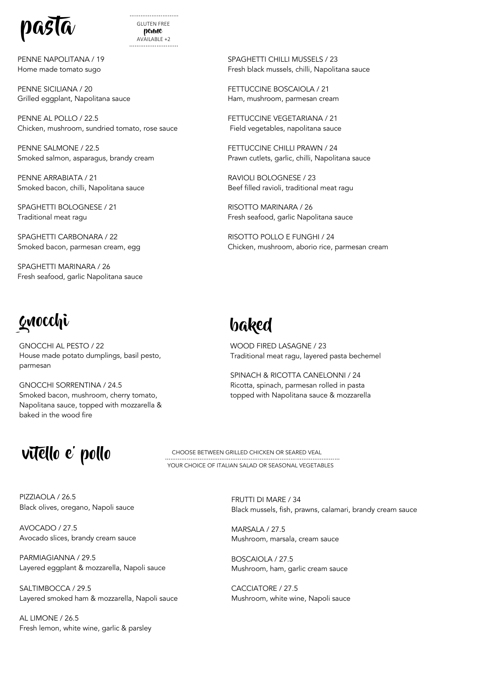



PENNE NAPOLITANA / 19 Home made tomato sugo

PENNE SICILIANA / 20 Grilled eggplant, Napolitana sauce

PENNE AL POLLO / 22.5 Chicken, mushroom, sundried tomato, rose sauce

PENNE SALMONE / 22.5 Smoked salmon, asparagus, brandy cream

PENNE ARRABIATA / 21 Smoked bacon, chilli, Napolitana sauce

SPAGHETTI BOLOGNESE / 21 Traditional meat ragu

SPAGHETTI CARBONARA / 22 Smoked bacon, parmesan cream, egg

SPAGHETTI MARINARA / 26 Fresh seafood, garlic Napolitana sauce

# gnocchi baked

GNOCCHI AL PESTO / 22 House made potato dumplings, basil pesto, parmesan

GNOCCHI SORRENTINA / 24.5 Smoked bacon, mushroom, cherry tomato, Napolitana sauce, topped with mozzarella & baked in the wood fire

#### SPAGHETTI CHILLI MUSSELS / 23 Fresh black mussels, chilli, Napolitana sauce

FETTUCCINE BOSCAIOLA / 21 Ham, mushroom, parmesan cream

FETTUCCINE VEGETARIANA / 21 Field vegetables, napolitana sauce

FETTUCCINE CHILLI PRAWN / 24 Prawn cutlets, garlic, chilli, Napolitana sauce

RAVIOLI BOLOGNESE / 23 Beef filled ravioli, traditional meat ragu

RISOTTO MARINARA / 26 Fresh seafood, garlic Napolitana sauce

RISOTTO POLLO E FUNGHI / 24 Chicken, mushroom, aborio rice, parmesan cream

WOOD FIRED LASAGNE / 23 Traditional meat ragu, layered pasta bechemel

SPINACH & RICOTTA CANELONNI / 24 Ricotta, spinach, parmesan rolled in pasta topped with Napolitana sauce & mozzarella

## vitello e' pollo

YOUR CHOICE OF ITALIAN SALAD OR SEASONAL VEGETABLES …………………………………………………………… ……………………… CHOOSE BETWEEN GRILLED CHICKEN OR SEARED VEAL

PIZZIAOLA / 26.5 Black olives, oregano, Napoli sauce

AVOCADO / 27.5 Avocado slices, brandy cream sauce

PARMIAGIANNA / 29.5 Layered eggplant & mozzarella, Napoli sauce

SALTIMBOCCA / 29.5 Layered smoked ham & mozzarella, Napoli sauce

AL LIMONE / 26.5 Fresh lemon, white wine, garlic & parsley FRUTTI DI MARE / 34 Black mussels, fish, prawns, calamari, brandy cream sauce

MARSALA / 27.5 Mushroom, marsala, cream sauce

BOSCAIOLA / 27.5 Mushroom, ham, garlic cream sauce

CACCIATORE / 27.5 Mushroom, white wine, Napoli sauce